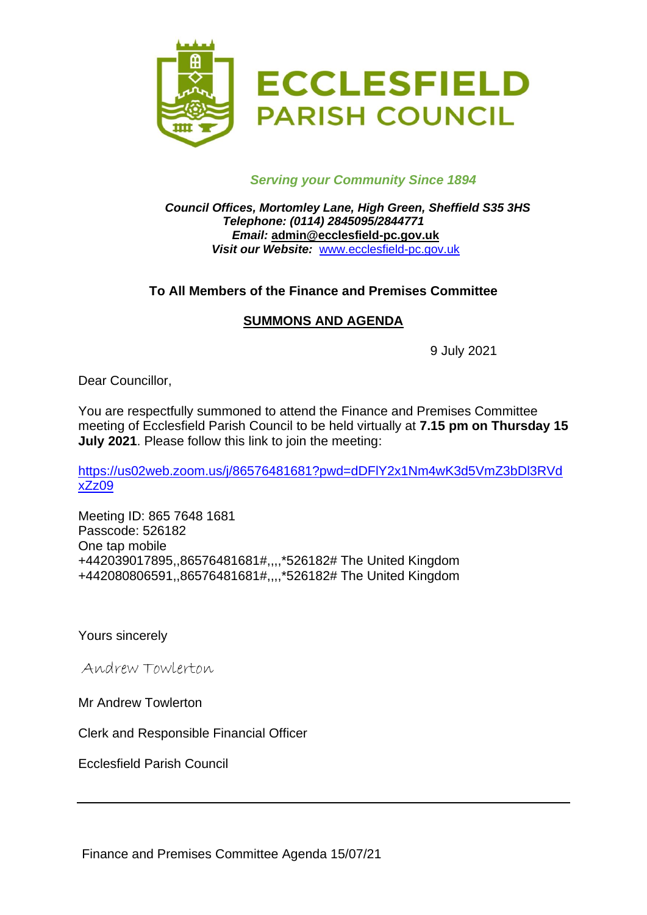

## *Serving your Community Since 1894*

*Council Offices, Mortomley Lane, High Green, Sheffield S35 3HS Telephone: (0114) 2845095/2844771 Email:* **admin@ecclesfield-pc.gov.uk** *Visit our Website:* [www.ecclesfield-pc.gov.uk](http://www.ecclesfield-pc.gov.uk/)

## **To All Members of the Finance and Premises Committee**

## **SUMMONS AND AGENDA**

9 July 2021

Dear Councillor,

You are respectfully summoned to attend the Finance and Premises Committee meeting of Ecclesfield Parish Council to be held virtually at **7.15 pm on Thursday 15 July 2021**. Please follow this link to join the meeting:

[https://us02web.zoom.us/j/86576481681?pwd=dDFlY2x1Nm4wK3d5VmZ3bDl3RVd](https://us02web.zoom.us/j/86576481681?pwd=dDFlY2x1Nm4wK3d5VmZ3bDl3RVdxZz09) [xZz09](https://us02web.zoom.us/j/86576481681?pwd=dDFlY2x1Nm4wK3d5VmZ3bDl3RVdxZz09)

Meeting ID: 865 7648 1681 Passcode: 526182 One tap mobile +442039017895,,86576481681#,,,,\*526182# The United Kingdom +442080806591,,86576481681#,,,,\*526182# The United Kingdom

Yours sincerely

Andrew Towlerton

Mr Andrew Towlerton

Clerk and Responsible Financial Officer

Ecclesfield Parish Council

Finance and Premises Committee Agenda 15/07/21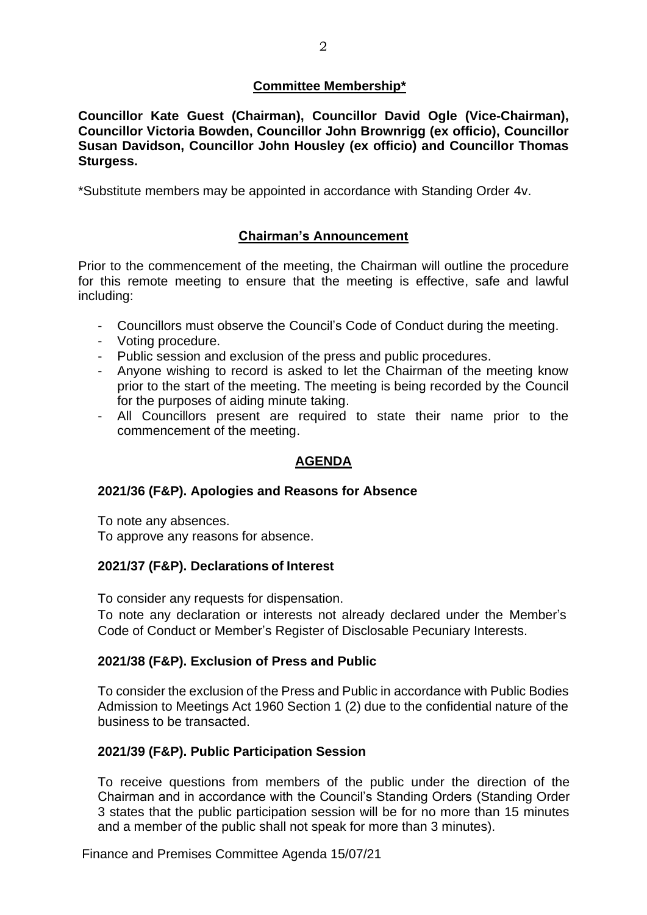## **Committee Membership\***

**Councillor Kate Guest (Chairman), Councillor David Ogle (Vice-Chairman), Councillor Victoria Bowden, Councillor John Brownrigg (ex officio), Councillor Susan Davidson, Councillor John Housley (ex officio) and Councillor Thomas Sturgess.**

\*Substitute members may be appointed in accordance with Standing Order 4v.

## **Chairman's Announcement**

Prior to the commencement of the meeting, the Chairman will outline the procedure for this remote meeting to ensure that the meeting is effective, safe and lawful including:

- Councillors must observe the Council's Code of Conduct during the meeting.
- Voting procedure.
- Public session and exclusion of the press and public procedures.
- Anyone wishing to record is asked to let the Chairman of the meeting know prior to the start of the meeting. The meeting is being recorded by the Council for the purposes of aiding minute taking.
- All Councillors present are required to state their name prior to the commencement of the meeting.

# **AGENDA**

#### **2021/36 (F&P). Apologies and Reasons for Absence**

To note any absences. To approve any reasons for absence.

#### **2021/37 (F&P). Declarations of Interest**

To consider any requests for dispensation.

To note any declaration or interests not already declared under the Member's Code of Conduct or Member's Register of Disclosable Pecuniary Interests.

#### **2021/38 (F&P). Exclusion of Press and Public**

To consider the exclusion of the Press and Public in accordance with Public Bodies Admission to Meetings Act 1960 Section 1 (2) due to the confidential nature of the business to be transacted.

#### **2021/39 (F&P). Public Participation Session**

To receive questions from members of the public under the direction of the Chairman and in accordance with the Council's Standing Orders (Standing Order 3 states that the public participation session will be for no more than 15 minutes and a member of the public shall not speak for more than 3 minutes).

Finance and Premises Committee Agenda 15/07/21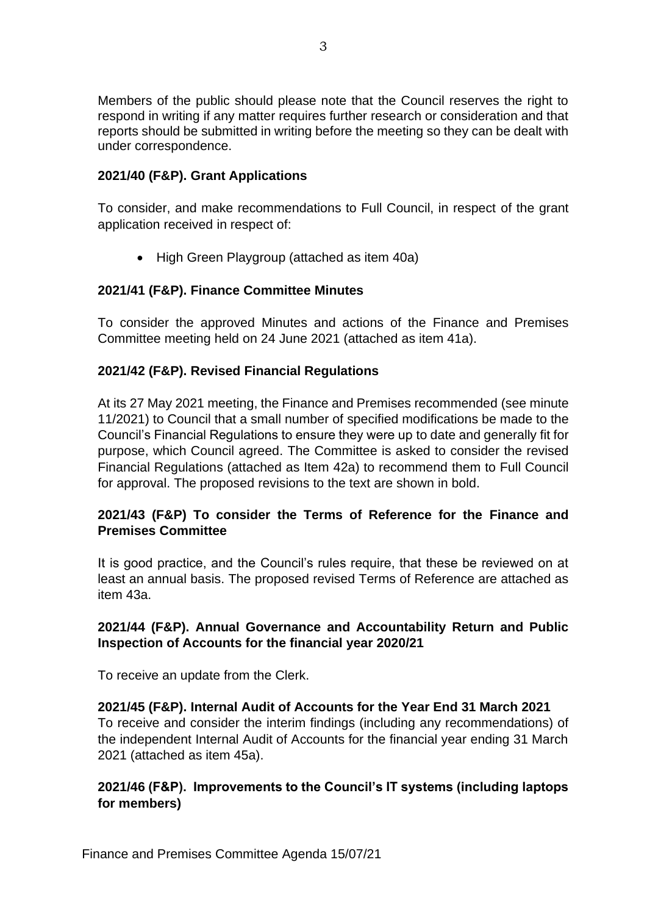Members of the public should please note that the Council reserves the right to respond in writing if any matter requires further research or consideration and that reports should be submitted in writing before the meeting so they can be dealt with under correspondence.

## **2021/40 (F&P). Grant Applications**

To consider, and make recommendations to Full Council, in respect of the grant application received in respect of:

• High Green Playgroup (attached as item 40a)

## **2021/41 (F&P). Finance Committee Minutes**

To consider the approved Minutes and actions of the Finance and Premises Committee meeting held on 24 June 2021 (attached as item 41a).

## **2021/42 (F&P). Revised Financial Regulations**

At its 27 May 2021 meeting, the Finance and Premises recommended (see minute 11/2021) to Council that a small number of specified modifications be made to the Council's Financial Regulations to ensure they were up to date and generally fit for purpose, which Council agreed. The Committee is asked to consider the revised Financial Regulations (attached as Item 42a) to recommend them to Full Council for approval. The proposed revisions to the text are shown in bold.

## **2021/43 (F&P) To consider the Terms of Reference for the Finance and Premises Committee**

It is good practice, and the Council's rules require, that these be reviewed on at least an annual basis. The proposed revised Terms of Reference are attached as item 43a.

## **2021/44 (F&P). Annual Governance and Accountability Return and Public Inspection of Accounts for the financial year 2020/21**

To receive an update from the Clerk.

**2021/45 (F&P). Internal Audit of Accounts for the Year End 31 March 2021** To receive and consider the interim findings (including any recommendations) of the independent Internal Audit of Accounts for the financial year ending 31 March 2021 (attached as item 45a).

## **2021/46 (F&P). Improvements to the Council's IT systems (including laptops for members)**